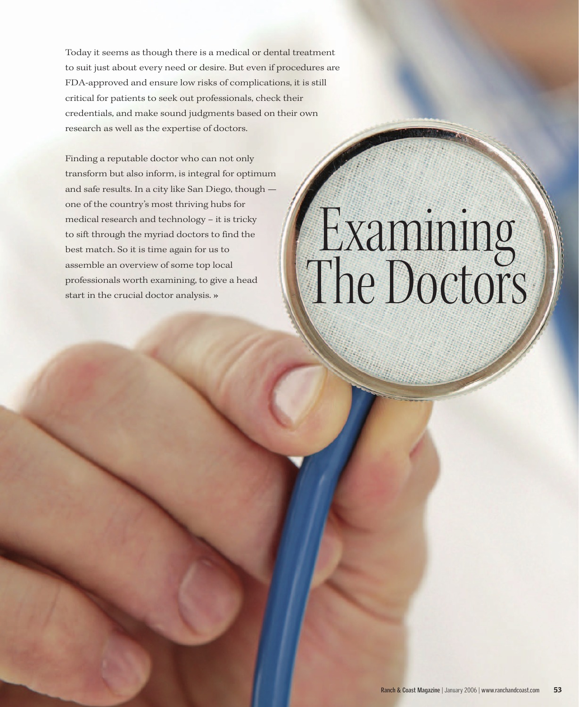Today it seems as though there is a medical or dental treatment to suit just about every need or desire. But even if procedures are FDA-approved and ensure low risks of complications, it is still critical for patients to seek out professionals, check their credentials, and make sound judgments based on their own research as well as the expertise of doctors.

Finding a reputable doctor who can not only transform but also inform, is integral for optimum and safe results. In a city like San Diego, though one of the country's most thriving hubs for medical research and technology – it is tricky to sift through the myriad doctors to find the best match. So it is time again for us to assemble an overview of some top local professionals worth examining, to give a head start in the crucial doctor analysis. **»**

## Examining The Doctors